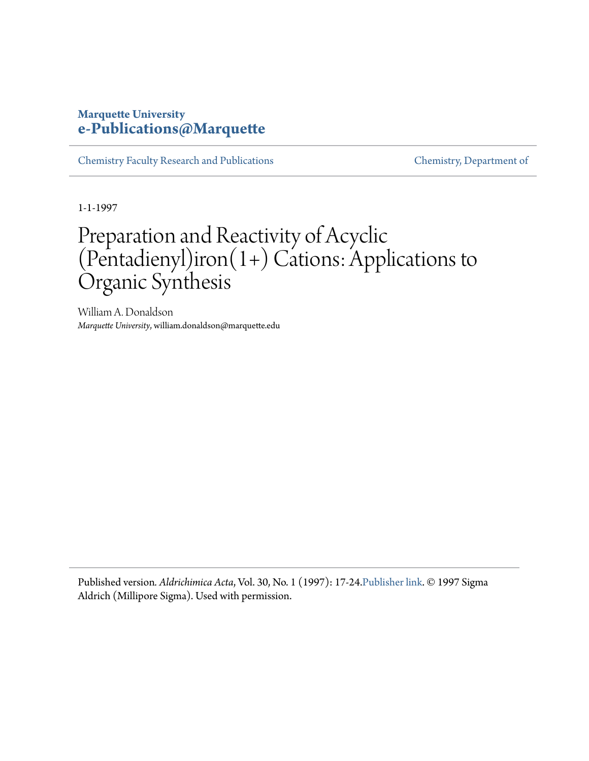### **Marquette University [e-Publications@Marquette](https://epublications.marquette.edu)**

[Chemistry Faculty Research and Publications](https://epublications.marquette.edu/chem_fac) [Chemistry, Department of](https://epublications.marquette.edu/chemistry)

1-1-1997

## Preparation and Reactivity of Acyclic (Pentadienyl)iron(1+) Cations: Applications to Organic Synthesis

William A. Donaldson *Marquette University*, william.donaldson@marquette.edu

Published version*. Aldrichimica Acta*, Vol. 30, No. 1 (1997): 17-24.[Publisher link](https://www.sigmaaldrich.com/ifb/acta/v30/HTML/14/index.html). © 1997 Sigma Aldrich (Millipore Sigma). Used with permission.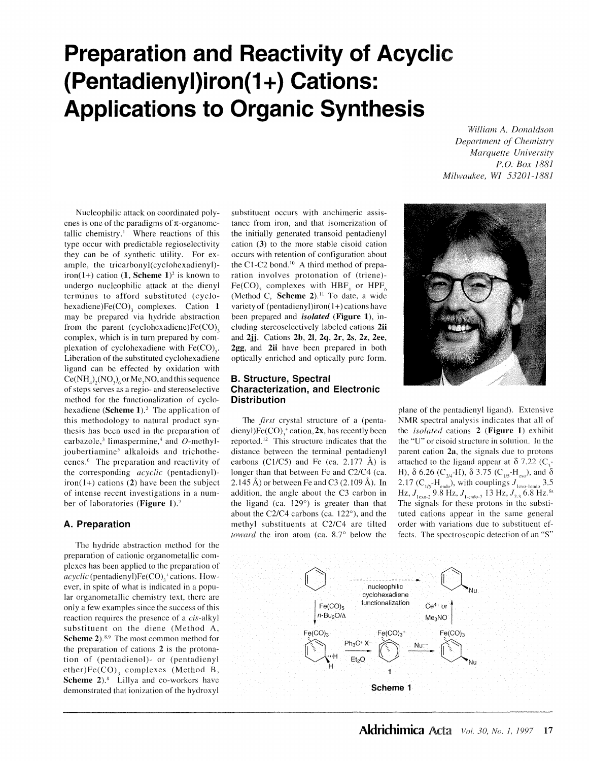# **Preparation and Reactivity of Acyclic (Pentadienyl)iron(1 +) Cations: Applications to Organic Synthesis**

Nucleophilic attack on coordinated polyenes is one of the paradigms of  $\pi$ -organometallic chemistry.<sup>1</sup> Where reactions of this type occur with predictable regioselectivity they can be of synthetic utility. For example, the tricarbonyl(cyclohexadienyl) iron(1+) cation  $(1,$  **Scheme 1**)<sup>2</sup> is known to undergo nucleophilic attack at the dicnyl terminus to afford substituted (cyclohexadiene)Fe(CO)<sub>3</sub> complexes. Cation 1 may be prepared via hydride abstraction from the parent (cyclohexadiene) $Fe(CO)$ <sub>3</sub> complex, which is in turn prepared by complexation of cyclohexadiene with  $Fe(CO)_{c}$ . Liberation of the substituted cyclohexadiene ligand can be effected by oxidation with  $Ce(NH<sub>4</sub>)(NO<sub>3</sub>)$  or Me<sub>3</sub>NO, and this sequence of steps serves as a regio- and stereoselective method for the functionalization of cyclohexadiene (Scheme 1).<sup>2</sup> The application of this methodology to natural product synthesis has been used in the preparation of carbazole,<sup>3</sup> limaspermine,<sup>4</sup> and  $O$ -methyljoubertiamine<sup>5</sup> alkaloids and trichothecenes.6 The preparation and reactivity of the corresponding *acyclic* (pentadienyl)  $iron(1+)$  cations (2) have been the subject of intense recent investigations in a number of laboratories **(Figure 1). <sup>7</sup>**

#### **A. Preparation**

The hydride abstraction method for the preparation of cationic organometallic complexes has been applied to the preparation of *acyclic* (pentadienyl)Fe(CO),<sup>+</sup> cations. However, in spite of what is indicated in a popular organometallic chemistry text, there are only a few examples since the success of this reaction requires the presence of a cis-alkyl substituent on the diene (Method A, **Scheme 2**).<sup>8,9</sup> The most common method for the preparation of cations **2** is the protonation of (pentadienol)- or (pentadienyl  $e$ ther) $Fe(CO)$ , complexes (Method B, **Scheme 2**).<sup>8</sup> Lillya and co-workers have demonstrated that ionization of the hydroxyl

substituent occurs with anchimeric assistance from iron, and that isomerization of the initially generated transoid pentadienyl cation **(3)** to the more stable cisoid cation occurs with retention of configuration about the C1-C2 bond.<sup>10</sup> A third method of preparation involves protonation of (triene)- Fe(CO), complexes with HBF<sub>4</sub> or HPF<sub>4</sub> (Method C, Scheme 2).<sup>11</sup> To date, a wide variety of (pentadienyl)iron( I+) cations have been prepared and *isolated* **(Figure 1),** including stercoselectivcly labeled cations **2ii**  and **2jj.** Cations **2b, 21, 2q, 2r, 2s, 2z, 2ee, 2gg,** and **2ii** have been prepared in both optically enriched and optically pure form.

#### **B. Structure, Spectral Characterization, and Electronic Distribution**

The *first* crystal structure of a (pentadienyl) $Fe(CO)$ , cation, 2x, has recently been reported.<sup>12</sup> This structure indicates that the distance between the terminal pentadienyl carbons (C1/C5) and Fe (ca. 2.177  $\AA$ ) is longer than that between Fe and C2/C4 (ca. 2.145 Å) or between Fe and C3 (2.109 Å). In addition, the angle about the C3 carbon in the ligand (ca.  $129^\circ$ ) is greater than that about the C2/C4 carbons (ca. 122°), and the methyl substituents at C2/C4 arc tilted *toward* the iron atom (ca. 8.7° below the

*William A. Donaldson Department of Chemistry Marquette University P.O. Box 1881 Milwaukee, WI 53201-1881* 



plane of the pentadicnyl ligand). Extensive **NMR** spectral analysis indicates that all of the *isolated* cations **2 (Figure 1)** exhibit the "U" or cisoid structure in solution. In the parent cation **2a,** the signals due to protons attached to the ligand appear at  $\delta$  7.22 (C<sub>3</sub>-**H**), δ 6.26 (C<sub>2/4</sub>-H), δ 3.75 (C<sub>1/5</sub>-H<sub>exo</sub>), and δ 2.17 ( $C_{1/5}$ -H<sub>endo</sub>), with couplings  $J_{1\text{exo-lendo}}$  3.5  $\text{Hz}$ ,  $J_{\text{lexo-2}}$  9.8 Hz,  $J_{\text{1-endo-2}}$  13 Hz,  $J_{\text{2-3}}$  6.8 Hz.<sup>8a</sup> The signals for these protons in the substituted cations appear in the same general order with variations due to substitucnt effects. The spectroscopic detection of an "S"

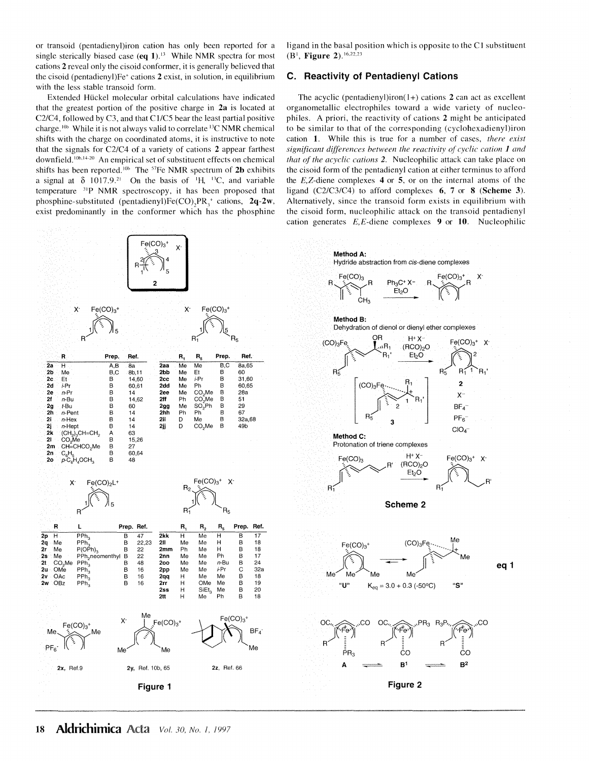or transoid (pentadienyl)iron cation has only been reported for a single sterically biased case  $(\mathbf{eq} \ 1)^{13}$  While NMR spectra for most cations **2** reveal only the cisoid conformer, it is generally believed that the cisoid (pentadienyl)Fe+ cations **2** exist, in solution, in equilibrium with the less stable transoid form.

Extended Hiickel molecular orbital calculations have indicated that the greatest portion of the positive charge in **2a** is located at C2/C4, followed by C3, and that Cl/CS bear the least partial positive charge. Job While it is not always valid to correlate 13C **NMR** chemical shifts with the charge on coordinated atoms, it is instructive to note that the signals for C2/C4 of a variety of cations **2** appear farthest downfield.<sup>10b,14-20</sup> An empirical set of substituent effects on chemical shifts has been reported. 10t The 57Fe NMR spectrum of **2h** exhibits a signal at  $\delta$  1017.9.<sup>21</sup> On the basis of <sup>1</sup>H, <sup>13</sup>C, and variable temperature  $31P$  NMR spectroscopy, it has been proposed that phosphine-substituted (pentadienyl) $Fe(CO)$ <sub>reading</sub>  $2q-2w$ , exist predominantly in the conformer which has the phosphine



ligand in the basal position which is opposite to the CI substituent (Bi, **Figure 2).** 16.22 23

#### **C. Reactivity of Pentadienyl Cations**

The acyclic (pentadienyl)iron( I+) cations **2** can act as excellent organometallic electrophilcs toward a wide variety of nucleophiles. A priori, the reactivity of cations **2** might be anticipated to be similar to that of the corresponding (cyclohexadienyl)iron cation **1.** While this is true for a number of cases, *there exist significant differences between the reactivity of cyclic cation 1 and that of the acyclic cations 2.* Nucleophilic attack can take place on the cisoid form of the pentadienyl cation at either terminus to afford the E,Z-diene complexes **4** or **5,** or on the internal atoms of the ligand (C2/C3/C4) to afford complexes **6, 7** or **8 (Scheme 3).**  Alternatively, since the transoid form exists in equilibrium with the cisoid form, nucleophilic attack on the transoid pentadienyl cation generates E,E-diene complexes **9** or **10.** Nucleophilic

x-

 $Fe(CO)<sub>3</sub>$ <sup>+</sup>

x-

 $PF_6^ ClO<sub>4</sub>$ 

Me

"S"

 $Fe(CO)<sub>3</sub>$  x-

**eq 1** 

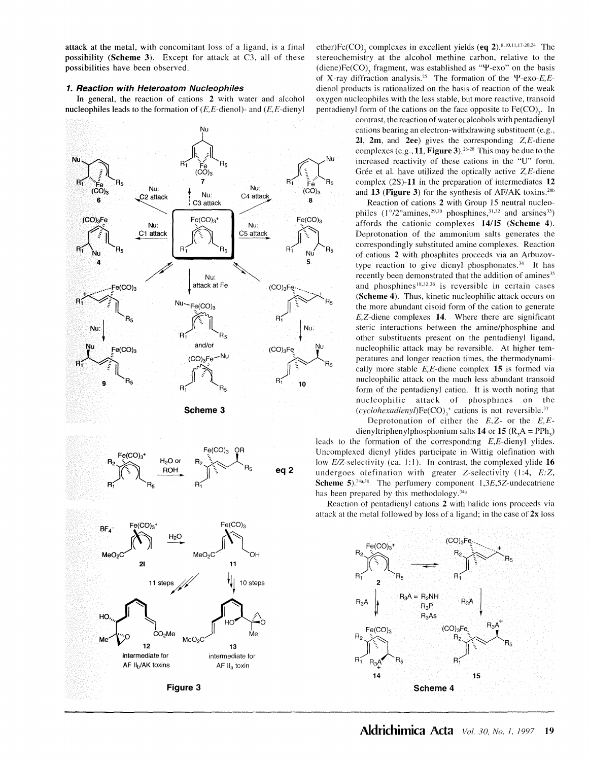attack at the metal, with concomitant loss of a ligand, is a final possibility **(Scheme 3).** Except for attack at C3, all of these possibilities have been observed.

#### **1. Reaction with Heteroatom Nucleophiles**

In general, the reaction of cations **2** with water and alcohol nucleophiles leads to the formation of  $(E, E$ -dienol)- and  $(E, E$ -dienyl



ether)Fe(CO)<sub>2</sub> complexes in excellent yields  $\textbf{(eq 2)}$ . 8,10,11,17-20,24 The. stereochcmistry at the alcohol methine carbon, relative to the (diene)Fe(CO)<sub>3</sub> fragment, was established as " $\Psi$ -exo" on the basis of X-ray diffraction analysis. 25 The formation of the *'¥-exo-E,E*dienol products is rationalized on the basis of reaction of the weak oxygen nucleophiles with the less stable, but more reactive, transoid pentadienyl form of the cations on the face opposite to Fe(CO),. In

contrast, the reaction of water or alcohols with pentadieny 1 cations bearing an electron-withdrawing substituent (e.g., **21, 2m,** and **2ee)** gives the corresponding Z,E-diene complexes (e.g., **11, Figure 3). <sup>20</sup> -28** This may be due to the increased reactivity of these cations in the "U" form. Grée et al. have utilized the optically active  $Z$ , E-diene complex **(2S)-11** in the preparation of intermediates **12**  and 13 (Figure 3) for the synthesis of AF/AK toxins.<sup>28b</sup>

Reaction of cations **2** with Group 15 neutral nucleophiles  $(1^{\circ}/2^{\circ}$ amines,<sup>29,30</sup> phosphines,<sup>31,32</sup> and arsines<sup>33</sup>) affords the cationic complexes **14/15 (Scheme 4).**  Deprotonation of the ammonium salts generates the correspondingly substituted amine complexes. Reaction of cations **2** with phosphites proceeds via an Arbuzovtype reaction to give dienyl phosphonates.<sup>34</sup> It has recently been demonstrated that the addition of amines<sup>35</sup> and phosphines<sup>18,32,36</sup> is reversible in certain cases **(Scheme 4).** Thus, kinetic nucleophilic attack occurs on the more abundant cisoid form of the cation to generate E,Z-diene complexes **14.** Where there are significant steric interactions between the amine/phosphine and other substituents present on the pentadienyl ligand, nucleophilic attack may be reversible. At higher temperatures and longer reaction times, the thermodynamically more stable E,E-diene complex **15** is formed via nucleophilic attack on the much less abundant transoid form of the pentadienyl cation. It is worth noting that nucleophilic attack of phosphines on the  $(cyclohexadienyl)Fe(CO)$ ,<sup>+</sup> cations is not reversible.<sup>37</sup>

Deprotonation of either the *E,Z-* or the *E,E*dienyltriphenylphosphonium salts **14** or **15**  $(R_3A = PPh_3)$ leads to the formation of the corresponding E,E-dienyl ylides. Uncomplexed dienyl ylides participate in Wittig olefination with low E/Z-selectivity (ca. 1:1). In contrast, the complexed ylide **16** undergoes olefination with greater Z-selectivity (1:4, *E:Z,* **Scheme 5**).<sup>34a,38</sup> The perfumery component 1,3E,5Z-undecatriene has been prepared by this methodology.<sup>34a</sup>

Reaction of pentadienyl cations **2** with halide ions proceeds via attack at the metal followed by loss of a ligand; in the case of **2x** loss

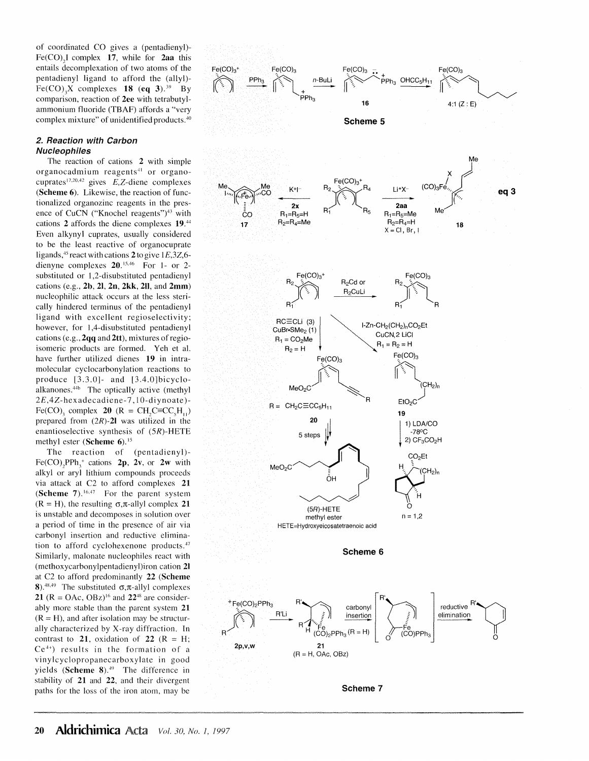of coordinated CO gives a (pentadienyl)- Fe(CO)<sub>2</sub>I complex 17, while for  $2aa$  this entails decomplexation of two atoms of the pentadienyl ligand to afford the (allyl)- Fe(CO)<sub>3</sub>X complexes **18** (eq 3).<sup>39</sup> By comparison, reaction of **2ee** with tetrabutylammonium fluoride (TBAF) affords a "very complex mixture" of unidentified products.40

#### **2. Reaction with Carbon Nucleophiles**

The reaction of cations **2** with simple organocadmium reagents 41 or organocuprates<sup>17,20,42</sup> gives  $E$ , Z-diene complexes **(Scheme 6).** Likewise, the reaction of functionalized organozinc reagents in the presence of CuCN ("Knochel reagents")<sup>43</sup> with cations **2** affords the diene complexes **19.44**  Even alkynyl cuprates, usually considered to be the least reactive of organocuprate ligands,  $45$  react with cations  $2$  to give  $1E.3Z.6$ dienyne complexes **20.** <sup>15.46</sup> For 1- or 2substituted or 1,2-disubstituted pentadienyl cations (e.g., **2b, 21, 2n, 2kk, 211,** and **2mm)**  nucleophilic attack occurs at the less sterically hindered terminus of the pentadienyl ligand with excellent regioselectivity; however, for 1,4-disubstituted pentadienyl cations **(e.g.,2qq** and2tt), mixtures ofregioisomeric products are formed. Yeh et al. have further utilized dienes **19** in intramolecular cyclocarbonylation reactions to produce [3.3.0]- and [3.4.0]bicycloalkanones.<sup>44b</sup> The optically active (methyl 2£,4Z-hexadecadiene-7, 10-diynoate )- Fe(CO)<sub>2</sub> complex **20**  $(R = CH_{\alpha}C \equiv CC_{\alpha}H_{\alpha}$ prepared from **(2R)-21** was utilized in the enantioselective synthesis of (SR)-HETE methyl ester **(Scheme 6). <sup>15</sup>**

The reaction of (pentadienyl)-  $Fe(CO)$ <sub>2</sub>PPh<sub>3</sub><sup>+</sup> cations **2p**, **2v**, or **2w** with alkyl or aryl lithium compounds proceeds via attack at C2 to afford complexes **21 (Scheme 7).** 16.47 For the parent system  $(R = H)$ , the resulting  $\sigma$ , $\pi$ -allyl complex 21 is unstable and decomposes in solution over a period of time in the presence of air via carbonyl insertion and reductive elimination to afford cyclohexenone products.<sup>47</sup> Similarly, malonate nucleophiles react with (methoxycarbonylpentadienyl)iron cation **21**  at C2 to afford predominantly **22 (Scheme 8**).<sup>48,49</sup> The substituted  $\sigma$ , $\pi$ -allyl complexes **21** ( $R = OAc$ ,  $OBz$ <sup>16</sup> and **22**<sup>48</sup> are considerably more stable than the parent system **21**   $(R = H)$ , and after isolation may be structurally characterized by X-ray diffraction. In contrast to 21, oxidation of 22  $(R = H)$ ;  $Ce<sup>4+</sup>$  results in the formation of a vinylcyclopropanecarboxylatc in good yields (Scheme 8).<sup>49</sup> The difference in stability of **21** and **22,** and their divergent paths for the loss of the iron atom. may be

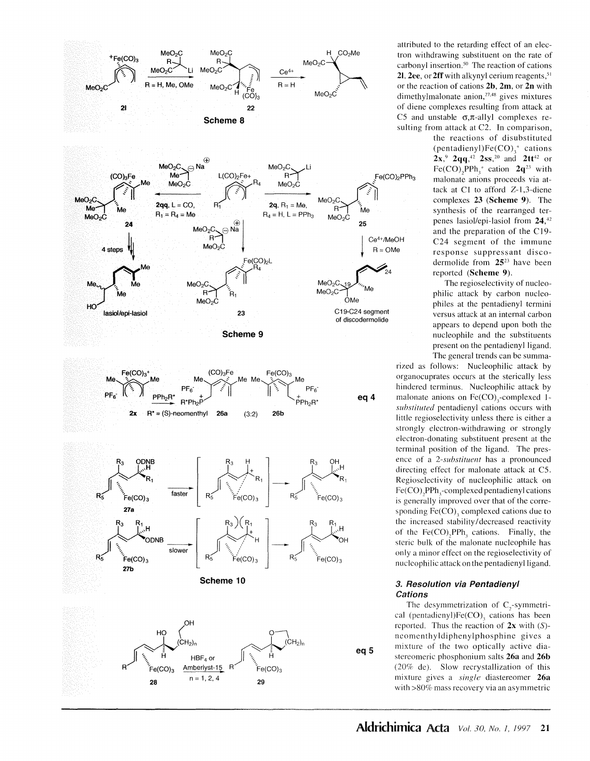

attributed to the retarding effect of an electron withdrawing substituent on the rate of carbonyl insertion.<sup>50</sup> The reaction of cations 21, 2ee, or 2ff with alkynyl cerium reagents,<sup>51</sup> or the reaction of cations **2b, 2m,** or **2n** with dimethylmalonate anion,<sup>27,48</sup> gives mixtures of diene complexes resulting from attack at C5 and unstable  $\sigma$ , $\pi$ -allyl complexes resulting from attack at C2. In comparison,

the reactions of disubstituted (pentadienyl)Fe(CO) $<sub>3</sub><sup>+</sup>$  cations</sub>  $2x$ ,  $9$   $2qq$ ,  $42$   $2ss$ ,  $20$  and  $2tt$   $42$  or  $Fe(CO)_{2}PPh_{3}^{+}$  cation  $2q^{23}$  with malonate anions proceeds via **at**tack at Cl to afford Z-1,3-diene complexes **23 (Scheme 9).** The synthesis of the rearranged terpenes lasiol/epi-lasiol from **24,<sup>42</sup>** and the preparation of the  $C19$ -C24 segment of the immune response suppressant discodermolide from **2523** have been reported **(Scheme 9).** 

The regioselectivity of nucleophilic attack by carbon nucleophiles at the pentadienyl termini versus attack at an internal carbon appears to depend upon both the nucleophile and the substituents present on the pentadienyl ligand. The general trends can be summa-

rized as follows: Nucleophilic attack by organocuprates occurs at the sterically less hindered terminus. Nucleophilic attack by malonate anions on Fe(CO),-complexed 1*substituted* pentadicnyl cations occurs with little regiosclectivity unless there is either a strongly electron-withdrawing or strongly electron-donating substituent present at the terminal position of the ligand. The presence of a *2-substituent* has a pronounced directing effect for malonate attack at CS. Regioselcctivity of nucleophilic attack on Fe(CO), PPh, -complexed pentadienyl cations is generally improved over that of the corresponding  $Fe(CO)$ , complexed cations due to the increased stability/ decreased reactivity of the  $Fe(CO)$ <sub>2</sub>PPh<sub>3</sub> cations. Finally, the steric bulk of the malonate nucleophile has only a minor effect on the regioselectivity of nucleophilic attack on the pentadienyl ligand.

#### **3. Resolution via Pentadienyl Cations**

The desymmetrization of  $C_{2}$ -symmetrical (pentadienyl) $Fe(CO)$ , cations has been reported. Thus the reaction of **2x** with (S) neomenthyldiphenylphosphine gives a mixture of the two optically active diastereomeric phosphonium salts **26a** and **26b**  (20% de). Slow recrystallization of this mixture gives a *single* diastereomer **26a**  with >80% mass recovery via an asymmetric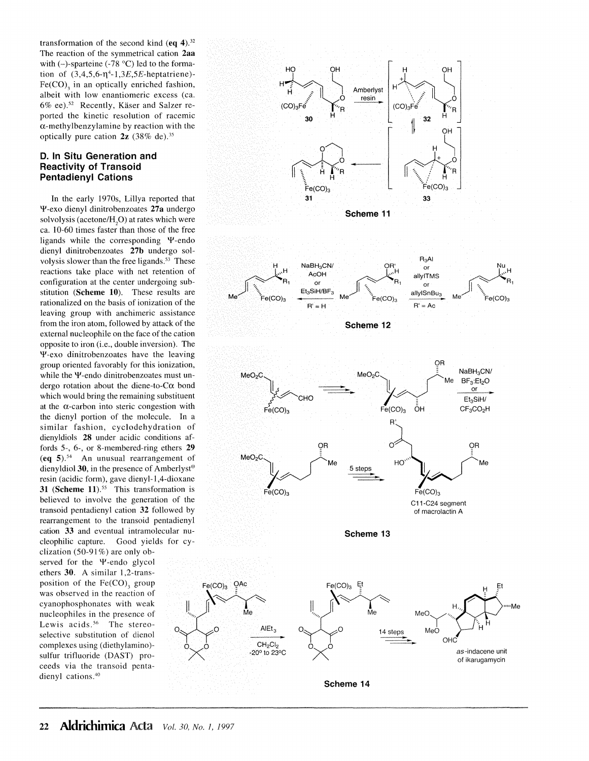transformation of the second kind  $(\mathbf{eq 4})$ .<sup>32</sup> The reaction of the symmetrical cation **2aa**  with  $(-)$ -sparteine  $(-78 \degree C)$  led to the formation of  $(3,4,5,6-\eta^4-1,3E,5E$ -heptatriene)- $Fe(CO)$ , in an optically enriched fashion, albeit with low enantiomeric excess (ca. 6% ee).<sup>52</sup> Recently, Käser and Salzer reported the kinetic resolution of racemic  $\alpha$ -methylbenzylamine by reaction with the optically pure cation **2z** (38% de). <sup>35</sup>

#### **D. In Situ Generation and Reactivity of Transoid Pentadienyl Cations**

In the early 1970s, Lillya reported that 4'-exo dienyl dinitrobenzoates **27a** undergo solvolysis (acetone/ $H<sub>a</sub>O$ ) at rates which were ca. 10-60 times faster than those of the free ligands while the corresponding  $\Psi$ -endo dienyl dinitrobenzoates **27b** undergo solvolysis slower than the free ligands.<sup>53</sup> These reactions take place with net retention of configuration at the center undergoing substitution **(Scheme 10).** These results are rationalized on the basis of ionization of the leaving group with anchimeric assistance from the iron atom, followed by attack of the external nucleophile on the face of the cation opposite to iron (i.e., double inversion). The 4'-exo dinitrobenzoates have the leaving group oriented favorably for this ionization, while the Y-endo dinitrobenzoates must undergo rotation about the diene-to- $C\alpha$  bond which would bring the remaining substituent at the  $\alpha$ -carbon into steric congestion with the dienyl portion of the molecule. In a similar fashion, cyclodehydration of dienyldiols **28** under acidic conditions affords 5-, 6-, or 8-membered-ring ethers **29 (eq 5). <sup>54</sup>**An unusual rearrangement of dienyldiol **30,** in the presence of Amberlyst® resin (acidic form), gave dienyl-1,4-dioxane **31 (Scheme 11).**<sup>55</sup> This transformation is believed to involve the generation of the transoid pentadienyl cation **32** followed by rearrangement to the transoid pentadienyl cation **33** and eventual intramolecular nucleophilic capture. Good yields for cy-

clization (50-91%) are only observed for the *Y*-endo glycol ethers **30.** A similar 1,2-transposition of the  $Fe(CO)$ , group was observed in the reaction of cyanophosphonates with weak nucleophiles in the presence of Lewis acids.<sup>56</sup> The stereoselective substitution of dienol complexes using (diethylamino) sulfur trifluoride (DAST) proceeds via the transoid pentadienyl cations.<sup>40</sup>

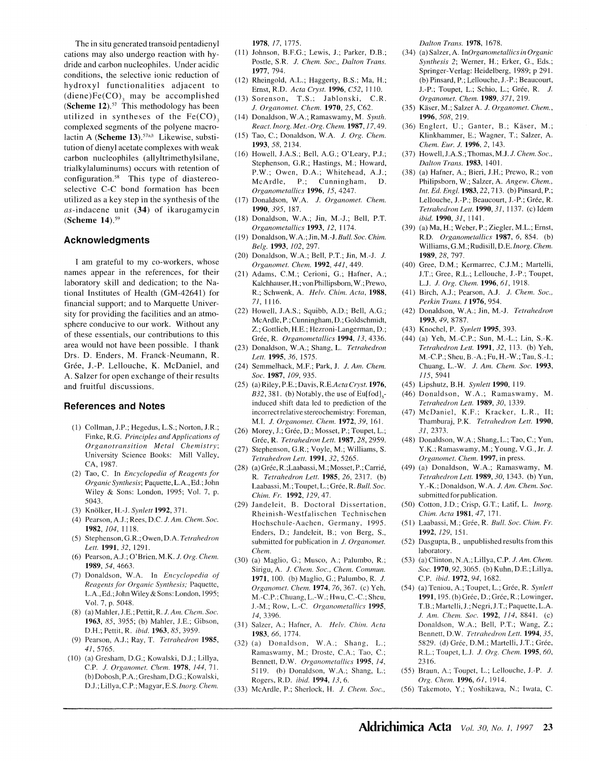The in situ generated transoid pentadienyl cations may also undergo reaction with hydride and carbon nucleophiles. Under acidic conditions, the selective ionic reduction of hydroxyl functionalities adjacent to  $(diene)Fe(CO)$ , may be accomplished **(Scheme 12).<sup>57</sup>** This methodology has been utilized in syntheses of the  $Fe(CO)$ , complexed segments of the polyene macrolactin A **(Scheme 13)**.<sup>57a,b</sup> Likewise, substitution of dienyl acetate complexes with weak carbon nucleophiles (allyltrimethylsilane, trialkylaluminums) occurs with retention of configuration.<sup>58</sup> This type of diastereoselective C-C bond formation has been utilized as a key step in the synthesis of the as-indacene unit **(34)** of ikarugamycin **(Scheme 14). <sup>59</sup>**

#### **Acknowledgments**

I am grateful to my co-workers, whose names appear in the references, for their laboratory skill and dedication; to the National Institutes of Health (GM-42641) for financial support; and to Marquette University for providing the facilities and an atmosphere conducive to our work. Without any of these essentials, our contributions to this area would not have been possible. I thank Drs. D. Enders, **M.** Franck-Neumann, **R.**  Grée, J.-P. Lellouche, K. McDaniel, and A. Salzer for open exchange of their results and fruitful discussions.

#### **References and Notes**

- (1) Collman, J.P.; Hegedus, LS.; Norton, J.R.; Finke, R.G. *Principles and Applications of Organotransition Metal Chemistry;*  University Science Books: Mill Valley, CA, 1987.
- (2) Tao, C. In *Encyclopedia of Reagents for Organic Synthesis;* Paquette, L.A., Ed.; John Wiley & Sons: London, 1995; Vol. 7, p. 5043.
- (3) Knolker, H.-J. *Synlett* **1992,** 371.
- (4) Pearson, A.J.; Rees, D.C. *J. Am. Chem. Soc.*  **1982,** 104, 1118.
- (5) Stephenson, G.R.; Owen, D.A. *Tetrahedron Lett.* **1991,** *32,* 1291.
- (6) Pearson, A.J.; O'Brien, M.K. *J. Org. Chem.*  **1989,** *54,* 4663.
- (7) Donaldson, W.A. In *Encyclopedia of Reagents for Organic Synthesis;* Paquette, L.A., Ed.; John Wiley & Sons: London, 1995; Vol. 7, p. 5048.
- (8) (a) Mahler, J.E.; Pettit, R. *J. Am. Chem. Soc.*  **1963,** *85,* 3955; (b) Mahler, J.E.; Gibson, D.H.; Pettit, R. *ibid.* **1963,** *85,* 3959.
- (9) Pearson, A.J.; Ray, T. *Tetrahedron* **1985,**  *41,* 5765.
- (10) (a) Gresham, D.G.; Kowalski, D.J.; Lillya, C.P. *J. Organomet. Chem.* **1978,** *144,* 71. (b)Dobosh, P.A.; Gresham, D.G.; Kowalski, D.J.; Lillya, C.P.; Magyar, E.S. Inorg. Chem.

**1978,** /7, 1775.

- (11) Johnson, B.F.G.; Lewis, J.; Parker, D.B.; Postle, S.R. *J. Chem. Soc., Dalton Trans.*  **1977,** 794.
- (12) Rheingold, A.L.; Haggerty, B.S.; Ma, H.; Ernst, R.D. *Acta Cl)'st.* **1996,** *C52,* 1110.
- (13) Sorenson, T.S.; Jablonski, C.R. *J. Organomet. Chem.* **1970,** *25,* C62.
- (14) Donaldson, W.A.; Ramaswamy, M. *Synth. React. lnorg. Met.-Org. Chem.* **1987,** 17,49.
- (15) Tao, C.; Donaldson, W.A. *J. Org. Chem.*  **1993,** *58,* 2134.
- (16) Howell, J.A.S.; Bell, A.G.; O'Leary, P.J.; Stephenson, G.R.; Hastings, M.; Howard, P.W.; Owen, D.A.; Whitehead, A.J.; McArdle, P.; Cunningham, D. *Organometallics* **1996,** *15,* 4247.
- (17) Donaldson, W.A. J. *Organomet. Chem.*  **1990,** *395,* 187.
- (18) Donaldson, W.A.; Jin, M.-J.; Bell, P.T. *Organometal/ic.1·* **1993,** *12,* 1174.
- (19) Donaldson, W.A.;Jin, *M.-J.Bull. Soc. Chim. Belg.* **1993,** *102,* 297.
- (20) Donaldson, W.A.; Bell, P.T.; Jin, M.-J. J. *Organomet. Chem.* **1992,** *441,449.*
- (21) Adams, C.M.; Cerioni, G.; Hafner, A.; Kalchhauser,H.; vonPhillipsborn, W.; Prewo, R.; Schwenk, A. *Helv. Chim. Acta,* **1988,**  71, 1116.
- (22) Howell, J.A.S.; Squibb, A.D.; Bell, A.G.; McArdle, P.; Cunningham, D.; Goldschmidt, Z.; Gottlieb, H.E.; Hezroni-Langerman, D.; Gree, R. *Organometallics* **1994,** *13,* 4336.
- (23) Donaldson, W.A.; Shang, L. *Tetrahedron Lett.* **1995,** *36,* 1575.
- (24) Semmelhack, M.F.; Park, J. *J. Am. Chem. Soc.* **1987,** *109,* 935.
- (25) (a) Riley, **P.E.;** Davis, *R.E.Acta Cryst.* **1976,**   $B32, 381.$  (b) Notably, the use of Eu[fod],induced shift data led to prediction of the incorrect relative stereochemistry: Foreman, **M.I.** *J. Organomet. Chem.* **1972,** *39,* 161.
- (26) Morey, J.; Grée, D.; Mosset, P.; Toupet, L.; Gree, **R.** *Tetrahedron Lett.* **1987,** *28,* 2959.
- (27) Stephenson, G.R.; Voyle, M.; Williams, S. *Tetrahedron Lett.* **1991,** *32,* 5265.
- (28) (a)Grée, R.;Laabassi, M.; Mosset, P.; Carrié, R. *Tetrahedron Lett.* **1985,** *26,* 2317. (b) Laabassi, M.; Toupet, L.; Grée, R. *Bull. Soc. Chim. Fr.* **1992,** *129,* 47.
- (29) Jandelcit, B. Doctoral Dissertation, Rheinish-Westfalischen Tcchnischen Hochschule-Aachcn, Germany, 1995. Enders, D.; Jandeleit, B.; von Berg, S., submitted for publication in *J. Organomet. Chem.*
- (30) (a) Maglio, G.; Musco, A.; Palumbo, R.; Sirigu, A. *J. Chem. Soc., Chem. Commun.*  **1971**, 100. (b) Maglio, G., Palumbo, R. J. *Organomet. Chem.* **1974,** 76,367. (c) Yeh, M.-C.P.; Chuang, L.-W.; Hwu, C.-C.; Sheu, J.-M.; Row, L.-C. *Organometallics* **1995,**  *14,* 3396.
- (31) Salzer, A.; Hafner, A. *Helv. Chim. Acta*  **1983,** *66,* 1774.
- (32) (a) Donaldson, W .A.; Shang, L.; Ramaswamy, M.; Droste, C.A.; Tao, C.; Bennett, D.W. *Orgcmometallics* **1995,** *14,*  5119. (h) Donaldson, W.A.; Shang, L.; Rogers, R.D. *ibid.* **1994,** *13,* 6.
- (33) McArdle, P.; Sherlock, H. *J. Chem. Soc.,*

*Dalton Trans.* **1978,** 1678.

- (34) (a) Salzer, A. *InOrganometallics in Organic Synthesis 2;* Werner, **H.;** Erker, G., Eds.; Springer-Verlag: Heidelberg, 1989; p 291. (b) Pinsard, **P.;** Lellouche, J.-P.; Beaucourt, J.-P.; Toupet, L.; Schio, L.; Grée, R. *J. Organomet. Chem.* **1989,** *371,* 219.
- (35) Kaser, M.; Salzer A. *J. Organomet. Chem., 1996,508,* 219.
- (36) Englert, U.; Ganter, B.; Kaser, M.; Klinkhammer, E.; Wagner, T.; Salzer, A. *Chem. Eur. J.* **1996,** *2,* 143.
- (37) Howell,J.A.S.; Thomas, *M.J.J. Chem. Soc., Dalton Trans.* **1983,** 1401.
- (38) (a) Hafner, A.; Bieri, J.H.; Prewo, R.; von Philipsborn, W.; Salzer, A. *Angew. Chem., Int. Ed. Engl.* **1983**, 22, 713. (b) Pinsard, P.; Lellouche, J.-P.; Beaucourt, J.-P.; Grée, R. *Tetrahedron Lett.* **1990,** *31,* I 137. (c) Idem *ihid.1990,31,* 1141.
- (39) (a) Ma, H.; Weber, **P.;** Ziegler, M.L.; Ernst, R.D. *Organometallics* **1987,** *6,* 854. (b) Williams, G.M.; Rudisill, D.E. *lnorg. Chem.*  **1989,** *28,* 797.
- (40) Gree, D.M.; Kermarrec, C.J.M.; Martelli, J.T.; Gree, R.L.; Lellouche, J.-P.; Toupet, L.J. *J. Org. Chem.* **1996,** *61,* 1918.
- (41) Birch, A.J.; Pearson, A.J. *J. Chem. Soc., Perkin Trans. I* **1976,** 954.
- (42) Donaldson, W.A.; Jin, M.-J. *Tetrahedron*  **1993,** *49,* 8787.
- (43) Knochel, P. *Synlett* **1995,** 393.
- (44) (a) Yeh, M.-C.P.; Sun, M.-L.; Lin, S.-K. *Tetrahedron Lett.* **1991,** *32,* 113. (b) Yeh, M.-C.P.; Sheu, B.-A.; Fu, H.-W.; Tau, S.-I.; Chuang, L.-W. *J. Am. Chem. Soc.* **1993,**  /J.5,5941
- (45) Lipshutz, B.H. *Synlett* **1990,** 119.
- (46) Donaldson, W.A.; Ramaswamy, M. *Tetrahedron Lett.* **1989,** *30,* 1339.
- (47) McDaniel, K.F.; Kracker, L.R., II; Thamburaj, P.K. *Tetrahedron Lett.* **1990,**  *31,* 2373.
- (48) Donaldson, W.A.; Shang, L.; Tao, C.; Yun, Y.K.; Ramaswamy, M.; Young, V.G., Jr. *J. Organomet. Chem.* **1997,** in press.
- (49) (a) Donaldson, W.A.; Ramaswamy, M. *Tetrahedron Lett.* **1989,** *30,* 1343. (b) Yun, Y.-K.; Donaldson. W.A. *J. Am. Chem. Soc.*  submitted for publication.
- (50) Cotton, J.D.; Crisp, G.T.; Latif, L. *lnorg. Chim. Acta* **1981,** *47,* 171.
- (51) Laabassi, M.; Grée, R. *Bull. Soc. Chim. Fr.* **1992,** *129,* 151.
- (52) Dasgupta, B., unpublished results from this laboratory.
- (53) (a) Clinton, N.A.; Lilly a, C.P. *J. Am. Chem. Soc.* **1970,** 92, 3065. (b) Kuhn, D.E.; Lillya, C.P. *ibid.* **1972,** *94,* 1682.
- (54) (a) Teniou, A.; Toupet, L.; Grée, R. *Synlett* **1991,** 195. (b) Grée, D.; Grée, R.; Lowinger, T.B.; Martelli,J.; Negri,J.T.; Paquette,L.A. .I. *Am. Chem. Soc.* **1992,** *114,* 8841. (c) Donaldson, W.A.; Bell, P.T.; Wang, Z.; Bennett, D.W. *Tetrahedron Lett.* **1994,** *35,*  5829. (d) Grée, D.M.; Martelli, J.T.; Grée, R.L.; Toupet, L.J . *.!. Org. Chem.* **1995,** *60,*  23]6.
- (55) Braun, A.; Toupct, L.; Lellouche, J.-P. J. *Org. Chem.* **1996,** *61,* 1914.
- (56) Takemoto, Y.; Yoshikawa, N.; Iwata, C.